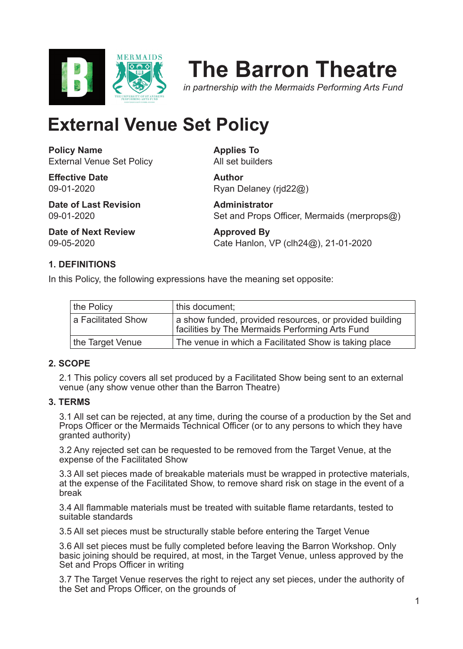

# **The Barron Theatre**

*in partnership with the Mermaids Performing Arts Fund*

# **External Venue Set Policy**

**Policy Name** External Venue Set Policy

**Effective Date** 09-01-2020

**Date of Last Revision** 09-01-2020

**Date of Next Review** 09-05-2020

**Applies To** All set builders

**Author** Ryan Delaney (rjd22@)

**Administrator** Set and Props Officer, Mermaids (merprops@)

**Approved By** Cate Hanlon, VP (clh24@), 21-01-2020

## **1. DEFINITIONS**

In this Policy, the following expressions have the meaning set opposite:

| the Policy         | this document:                                                                                             |
|--------------------|------------------------------------------------------------------------------------------------------------|
| a Facilitated Show | a show funded, provided resources, or provided building<br>facilities by The Mermaids Performing Arts Fund |
| the Target Venue   | The venue in which a Facilitated Show is taking place                                                      |

#### **2. SCOPE**

2.1 This policy covers all set produced by a Facilitated Show being sent to an external venue (any show venue other than the Barron Theatre)

#### **3. TERMS**

3.1 All set can be rejected, at any time, during the course of a production by the Set and Props Officer or the Mermaids Technical Officer (or to any persons to which they have granted authority)

3.2 Any rejected set can be requested to be removed from the Target Venue, at the expense of the Facilitated Show

3.3 All set pieces made of breakable materials must be wrapped in protective materials, at the expense of the Facilitated Show, to remove shard risk on stage in the event of a break

3.4 All flammable materials must be treated with suitable flame retardants, tested to suitable standards

3.5 All set pieces must be structurally stable before entering the Target Venue

3.6 All set pieces must be fully completed before leaving the Barron Workshop. Only basic joining should be required, at most, in the Target Venue, unless approved by the Set and Props Officer in writing

3.7 The Target Venue reserves the right to reject any set pieces, under the authority of the Set and Props Officer, on the grounds of